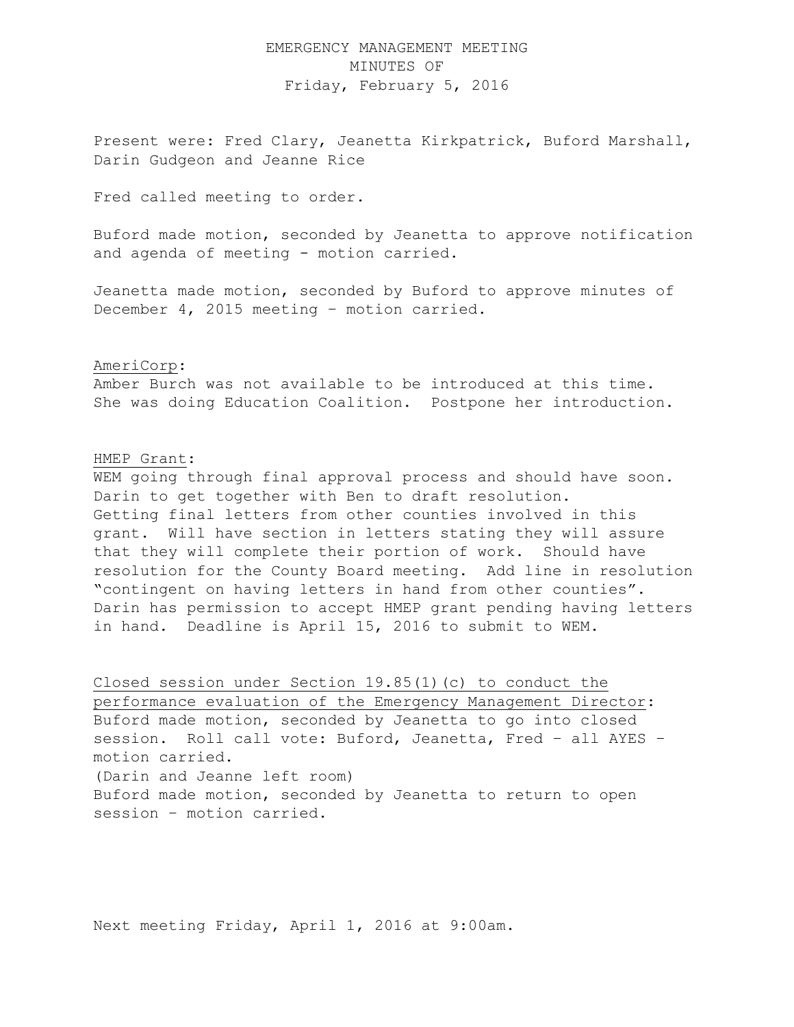## EMERGENCY MANAGEMENT MEETING MINUTES OF Friday, February 5, 2016

Present were: Fred Clary, Jeanetta Kirkpatrick, Buford Marshall, Darin Gudgeon and Jeanne Rice

Fred called meeting to order.

Buford made motion, seconded by Jeanetta to approve notification and agenda of meeting - motion carried.

Jeanetta made motion, seconded by Buford to approve minutes of December 4, 2015 meeting – motion carried.

## AmeriCorp:

Amber Burch was not available to be introduced at this time. She was doing Education Coalition. Postpone her introduction.

## HMEP Grant:

WEM going through final approval process and should have soon. Darin to get together with Ben to draft resolution. Getting final letters from other counties involved in this grant. Will have section in letters stating they will assure that they will complete their portion of work. Should have resolution for the County Board meeting. Add line in resolution "contingent on having letters in hand from other counties". Darin has permission to accept HMEP grant pending having letters in hand. Deadline is April 15, 2016 to submit to WEM.

Closed session under Section 19.85(1)(c) to conduct the performance evaluation of the Emergency Management Director: Buford made motion, seconded by Jeanetta to go into closed session. Roll call vote: Buford, Jeanetta, Fred – all AYES – motion carried. (Darin and Jeanne left room) Buford made motion, seconded by Jeanetta to return to open session – motion carried.

Next meeting Friday, April 1, 2016 at 9:00am.